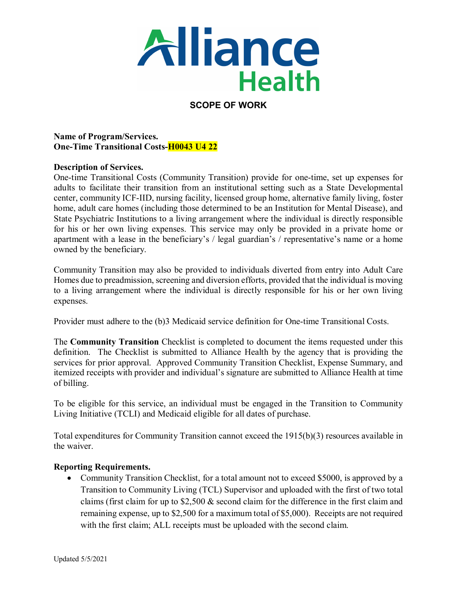

## **SCOPE OF WORK**

**Name of Program/Services. One-Time Transitional Costs-H0043 U4 22** 

## **Description of Services.**

One-time Transitional Costs (Community Transition) provide for one-time, set up expenses for adults to facilitate their transition from an institutional setting such as a State Developmental center, community ICF-IID, nursing facility, licensed group home, alternative family living, foster home, adult care homes (including those determined to be an Institution for Mental Disease), and State Psychiatric Institutions to a living arrangement where the individual is directly responsible for his or her own living expenses. This service may only be provided in a private home or apartment with a lease in the beneficiary's / legal guardian's / representative's name or a home owned by the beneficiary.

Community Transition may also be provided to individuals diverted from entry into Adult Care Homes due to preadmission, screening and diversion efforts, provided that the individual is moving to a living arrangement where the individual is directly responsible for his or her own living expenses.

Provider must adhere to the (b)3 Medicaid service definition for One-time Transitional Costs.

The **Community Transition** Checklist is completed to document the items requested under this definition. The Checklist is submitted to Alliance Health by the agency that is providing the services for prior approval. Approved Community Transition Checklist, Expense Summary, and itemized receipts with provider and individual's signature are submitted to Alliance Health at time of billing.

To be eligible for this service, an individual must be engaged in the Transition to Community Living Initiative (TCLI) and Medicaid eligible for all dates of purchase.

Total expenditures for Community Transition cannot exceed the 1915(b)(3) resources available in the waiver.

## **Reporting Requirements.**

• Community Transition Checklist, for a total amount not to exceed \$5000, is approved by a Transition to Community Living (TCL) Supervisor and uploaded with the first of two total claims (first claim for up to \$2,500 & second claim for the difference in the first claim and remaining expense, up to \$2,500 for a maximum total of \$5,000). Receipts are not required with the first claim; ALL receipts must be uploaded with the second claim.